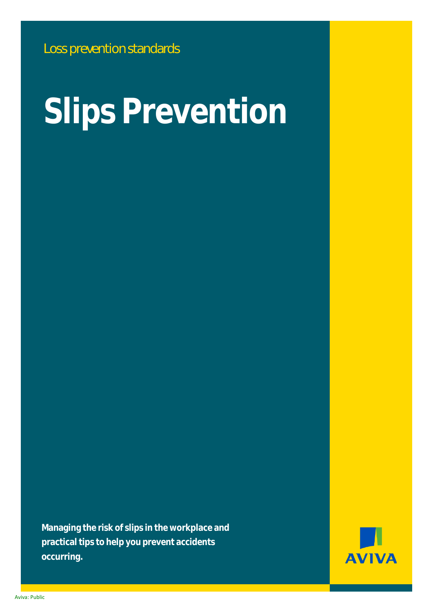# **Slips Prevention**

**Managing the risk of slips in the workplace and practical tips to help you prevent accidents occurring.**



Aviva: Public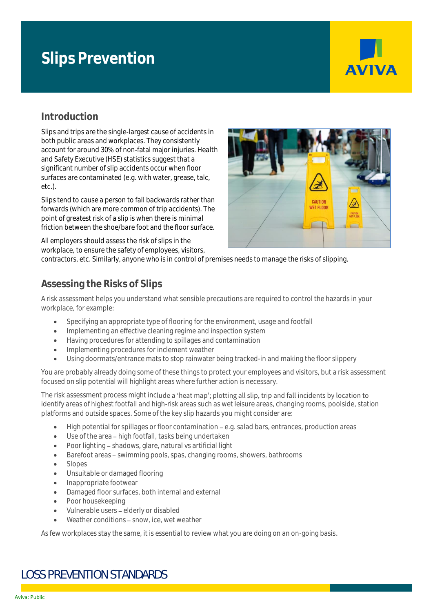# **Slips Prevention**



# **Introduction**

Slips and trips are the single-largest cause of accidents in both public areas and workplaces. They consistently account for around 30% of non-fatal major injuries. Health and Safety Executive (HSE) statistics suggest that a significant number of slip accidents occur when floor surfaces are contaminated (e.g. with water, grease, talc, etc.).

Slips tend to cause a person to fall backwards rather than forwards (which are more common of trip accidents). The point of greatest risk of a slip is when there is minimal friction between the shoe/bare foot and the floor surface.

All employers should assess the risk of slips in the workplace, to ensure the safety of employees, visitors,



contractors, etc. Similarly, anyone who is in control of premises needs to manage the risks of slipping.

# **Assessing the Risks of Slips**

A risk assessment helps you understand what sensible precautions are required to control the hazards in your workplace, for example:

- Specifying an appropriate type of flooring for the environment, usage and footfall
- Implementing an effective cleaning regime and inspection system
- Having procedures for attending to spillages and contamination
- Implementing procedures for inclement weather
- Using doormats/entrance mats to stop rainwater being tracked-in and making the floor slippery

You are probably already doing some of these things to protect your employees and visitors, but a risk assessment focused on slip potential will highlight areas where further action is necessary.

The risk assessment process might include a 'heat map'; plotting all slip, trip and fall incidents by location to identify areas of highest footfall and high-risk areas such as wet leisure areas, changing rooms, poolside, station platforms and outside spaces. Some of the key slip hazards you might consider are:

- High potential for spillages or floor contamination e.g. salad bars, entrances, production areas
- Use of the area high footfall, tasks being undertaken
- Poor lighting shadows, glare, natural vs artificial light
- Barefoot areas swimming pools, spas, changing rooms, showers, bathrooms
- Slopes
- Unsuitable or damaged flooring
- Inappropriate footwear
- Damaged floor surfaces, both internal and external
- Poor housekeeping
- Vulnerable users elderly or disabled
- Weather conditions snow, ice, wet weather

As few workplaces stay the same, it is essential to review what you are doing on an on-going basis.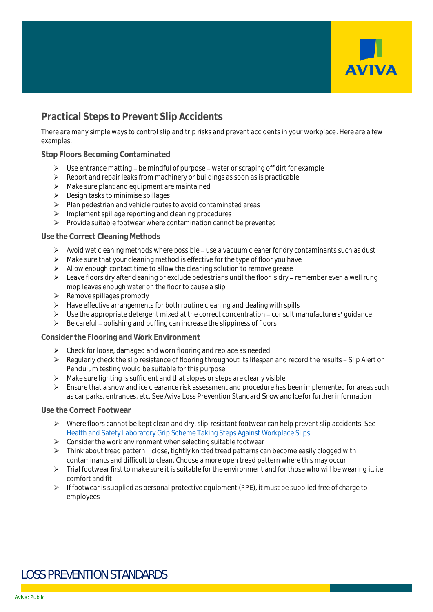

# **Practical Steps to Prevent Slip Accidents**

There are many simple ways to control slip and trip risks and prevent accidents in your workplace. Here are a few examples:

#### **Stop Floors Becoming Contaminated**

- $\triangleright$  Use entrance matting be mindful of purpose water or scraping off dirt for example
- ➢ Report and repair leaks from machinery or buildings as soon as is practicable
- ➢ Make sure plant and equipment are maintained
- ➢ Design tasks to minimise spillages
- ➢ Plan pedestrian and vehicle routes to avoid contaminated areas
- ➢ Implement spillage reporting and cleaning procedures
- ➢ Provide suitable footwear where contamination cannot be prevented

#### **Use the Correct Cleaning Methods**

- $\triangleright$  Avoid wet cleaning methods where possible use a vacuum cleaner for dry contaminants such as dust
- $\triangleright$  Make sure that your cleaning method is effective for the type of floor you have
- $\triangleright$  Allow enough contact time to allow the cleaning solution to remove grease
- $\triangleright$  Leave floors dry after cleaning or exclude pedestrians until the floor is dry remember even a well rung mop leaves enough water on the floor to cause a slip
- ➢ Remove spillages promptly
- ➢ Have effective arrangements for both routine cleaning and dealing with spills
- $\triangleright$  Use the appropriate detergent mixed at the correct concentration consult manufacturers' guidance
- $\triangleright$  Be careful polishing and buffing can increase the slippiness of floors

#### **Consider the Flooring and Work Environment**

- ➢ Check for loose, damaged and worn flooring and replace as needed
- $\triangleright$  Regularly check the slip resistance of flooring throughout its lifespan and record the results Slip Alert or Pendulum testing would be suitable for this purpose
- $\triangleright$  Make sure lighting is sufficient and that slopes or steps are clearly visible
- ➢ Ensure that a snow and ice clearance risk assessment and procedure has been implemented for areas such as car parks, entrances, etc. See Aviva Loss Prevention Standard *Snow and Ice* for further information

#### **Use the Correct Footwear**

- ➢ Where floors cannot be kept clean and dry, slip-resistant footwear can help prevent slip accidents. See [Health and Safety Laboratory Grip Scheme Taking Steps Against Workplace Slips](https://www.hsl.gov.uk/publications-and-products/grip/grip-ratings)
- $\triangleright$  Consider the work environment when selecting suitable footwear
- $\triangleright$  Think about tread pattern close, tightly knitted tread patterns can become easily clogged with contaminants and difficult to clean. Choose a more open tread pattern where this may occur
- ➢ Trial footwear first to make sure it is suitable for the environment and for those who will be wearing it, i.e. comfort and fit
- ➢ If footwear is supplied as personal protective equipment (PPE), it must be supplied free of charge to employees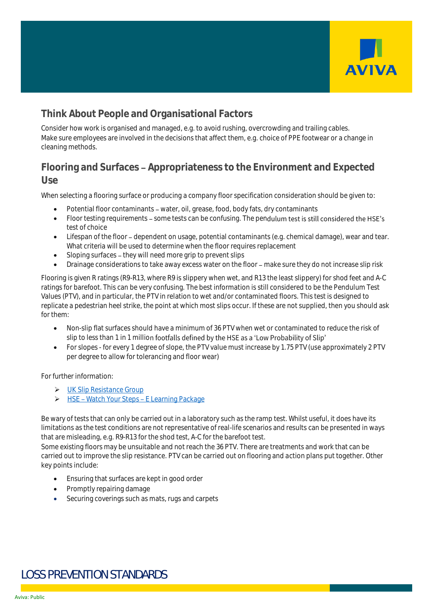

# **Think About People and Organisational Factors**

Consider how work is organised and managed, e.g. to avoid rushing, overcrowding and trailing cables. Make sure employees are involved in the decisions that affect them, e.g. choice of PPE footwear or a change in cleaning methods.

# **Flooring and Surfaces Appropriateness to the Environment and Expected Use**

When selecting a flooring surface or producing a company floor specification consideration should be given to:

- Potential floor contaminants water, oil, grease, food, body fats, dry contaminants
- Floor testing requirements some tests can be confusing. The pendulum test is still considered the HSE's test of choice
- Lifespan of the floor dependent on usage, potential contaminants (e.g. chemical damage), wear and tear. What criteria will be used to determine when the floor requires replacement
- Sloping surfaces they will need more grip to prevent slips
- Drainage considerations to take away excess water on the floor make sure they do not increase slip risk

Flooring is given R ratings (R9-R13, where R9 is slippery when wet, and R13 the least slippery) for shod feet and A-C ratings for barefoot. This can be very confusing. The best information is still considered to be the Pendulum Test Values (PTV), and in particular, the PTV in relation to wet and/or contaminated floors. This test is designed to replicate a pedestrian heel strike, the point at which most slips occur. If these are not supplied, then you should ask for them:

- Non-slip flat surfaces should have a minimum of 36 PTV when wet or contaminated to reduce the risk of slip to less than 1 in 1 million footfalls defined by the HSE as a 'Low Probability of Slip'
- For slopes for every 1 degree of slope, the PTV value must increase by 1.75 PTV (use approximately 2 PTV per degree to allow for tolerancing and floor wear)

For further information:

- ➢ [UK Slip Resistance Group](https://www.ukslipresistance.org.uk/)
- ▶ HSE Watch Your Steps E Learning Package

Be wary of tests that can only be carried out in a laboratory such as the ramp test. Whilst useful, it does have its limitations as the test conditions are not representative of real-life scenarios and results can be presented in ways that are misleading, e.g. R9-R13 for the shod test, A-C for the barefoot test.

Some existing floors may be unsuitable and not reach the 36 PTV. There are treatments and work that can be carried out to improve the slip resistance. PTV can be carried out on flooring and action plans put together. Other key points include:

- Ensuring that surfaces are kept in good order
- Promptly repairing damage
- Securing coverings such as mats, rugs and carpets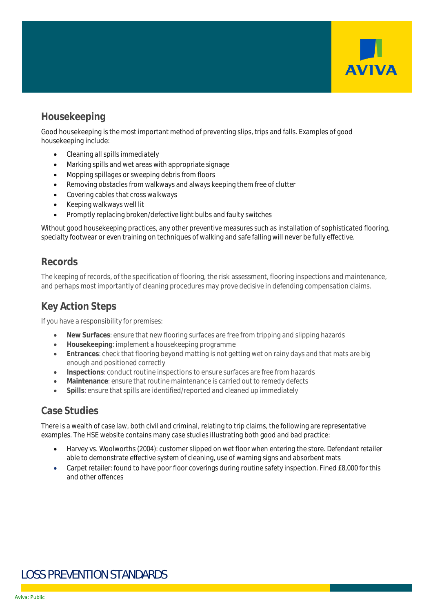

# **Housekeeping**

Good housekeeping is the most important method of preventing slips, trips and falls. Examples of good housekeeping include:

- Cleaning all spills immediately
- Marking spills and wet areas with appropriate signage
- Mopping spillages or sweeping debris from floors
- Removing obstacles from walkways and always keeping them free of clutter
- Covering cables that cross walkways
- Keeping walkways well lit
- Promptly replacing broken/defective light bulbs and faulty switches

Without good housekeeping practices, any other preventive measures such as installation of sophisticated flooring, specialty footwear or even training on techniques of walking and safe falling will never be fully effective.

## **Records**

The keeping of records, of the specification of flooring, the risk assessment, flooring inspections and maintenance, and perhaps most importantly of cleaning procedures may prove decisive in defending compensation claims.

# **Key Action Steps**

If you have a responsibility for premises:

- **New Surfaces**: ensure that new flooring surfaces are free from tripping and slipping hazards
- **Housekeeping**: implement a housekeeping programme
- **Entrances**: check that flooring beyond matting is not getting wet on rainy days and that mats are big enough and positioned correctly
- **Inspections**: conduct routine inspections to ensure surfaces are free from hazards
- **Maintenance**: ensure that routine maintenance is carried out to remedy defects
- **Spills**: ensure that spills are identified/reported and cleaned up immediately

## **Case Studies**

There is a wealth of case law, both civil and criminal, relating to trip claims, the following are representative examples. The HSE website contains many case studies illustrating both good and bad practice:

- Harvey vs. Woolworths (2004): customer slipped on wet floor when entering the store. Defendant retailer able to demonstrate effective system of cleaning, use of warning signs and absorbent mats
- Carpet retailer: found to have poor floor coverings during routine safety inspection. Fined £8,000 for this and other offences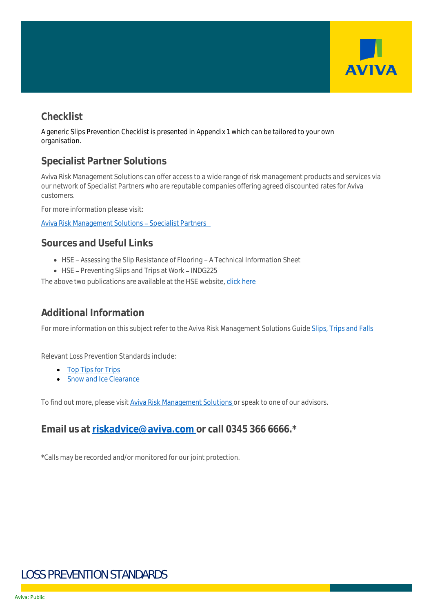

# **Checklist**

A generic Slips Prevention Checklist is presented in Appendix 1 which can be tailored to your own organisation.

# **Specialist Partner Solutions**

Aviva Risk Management Solutions can offer access to a wide range of risk management products and services via our network of Specialist Partners who are reputable companies offering agreed discounted rates for Aviva customers.

For more information please visit:

Aviva Risk Management Solutions - Specialist Partners

## **Sources and Useful Links**

- HSE Assessing the Slip Resistance of Flooring A Technical Information Sheet
- $\bullet$  HSE Preventing Slips and Trips at Work INDG225

The above two publications are available at the HSE website, [click here](https://www.hse.gov.uk/slips/)

# **Additional Information**

For more information on this subject refer to the Aviva Risk Management Solutions Guid[e Slips, Trips and Falls](https://connect.avivab2b.co.uk/documents/view/slips_trips_falls_guide.pdf)

Relevant Loss Prevention Standards include:

- [Top Tips for Trips](https://www.aviva.co.uk/risksolutions/knowledgestore/answer/4854/)
- [Snow and Ice Clearance](https://connect.avivab2b.co.uk/documents/view/aviva_snow_and_ice_clearance_lps.pdf)

To find out more, please visit [Aviva Risk Management Solutions](https://www.aviva.co.uk/risksolutions/) or speak to one of our advisors.

# **Email us at [riskadvice@aviva.com](mailto:riskadvice@aviva.com) or call 0345 366 6666.\***

\*Calls may be recorded and/or monitored for our joint protection.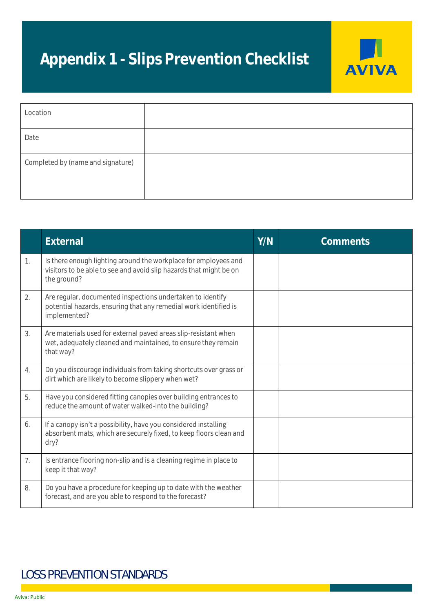# **Appendix 1 - Slips Prevention Checklist**



| Location                          |  |
|-----------------------------------|--|
| Date                              |  |
| Completed by (name and signature) |  |

|    | External                                                                                                                                             | Y/N | Comments |
|----|------------------------------------------------------------------------------------------------------------------------------------------------------|-----|----------|
| 1. | Is there enough lighting around the workplace for employees and<br>visitors to be able to see and avoid slip hazards that might be on<br>the ground? |     |          |
| 2. | Are regular, documented inspections undertaken to identify<br>potential hazards, ensuring that any remedial work identified is<br>implemented?       |     |          |
| 3. | Are materials used for external paved areas slip-resistant when<br>wet, adequately cleaned and maintained, to ensure they remain<br>that way?        |     |          |
| 4. | Do you discourage individuals from taking shortcuts over grass or<br>dirt which are likely to become slippery when wet?                              |     |          |
| 5. | Have you considered fitting canopies over building entrances to<br>reduce the amount of water walked-into the building?                              |     |          |
| 6. | If a canopy isn't a possibility, have you considered installing<br>absorbent mats, which are securely fixed, to keep floors clean and<br>dry?        |     |          |
| 7. | Is entrance flooring non-slip and is a cleaning regime in place to<br>keep it that way?                                                              |     |          |
| 8. | Do you have a procedure for keeping up to date with the weather<br>forecast, and are you able to respond to the forecast?                            |     |          |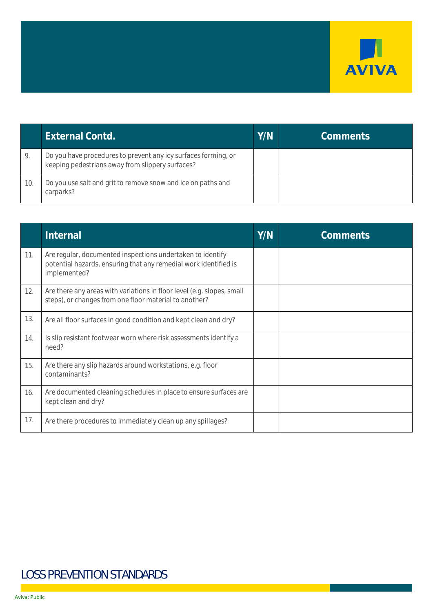

|     | External Contd.                                                                                                    | Y/N | Comments |
|-----|--------------------------------------------------------------------------------------------------------------------|-----|----------|
|     | Do you have procedures to prevent any icy surfaces forming, or<br>keeping pedestrians away from slippery surfaces? |     |          |
| 10. | Do you use salt and grit to remove snow and ice on paths and<br>carparks?                                          |     |          |

|     | Internal                                                                                                                                       | Y/N | Comments |
|-----|------------------------------------------------------------------------------------------------------------------------------------------------|-----|----------|
| 11. | Are regular, documented inspections undertaken to identify<br>potential hazards, ensuring that any remedial work identified is<br>implemented? |     |          |
| 12. | Are there any areas with variations in floor level (e.g. slopes, small<br>steps), or changes from one floor material to another?               |     |          |
| 13. | Are all floor surfaces in good condition and kept clean and dry?                                                                               |     |          |
| 14. | Is slip resistant footwear worn where risk assessments identify a<br>need?                                                                     |     |          |
| 15. | Are there any slip hazards around workstations, e.g. floor<br>contaminants?                                                                    |     |          |
| 16. | Are documented cleaning schedules in place to ensure surfaces are<br>kept clean and dry?                                                       |     |          |
| 17. | Are there procedures to immediately clean up any spillages?                                                                                    |     |          |